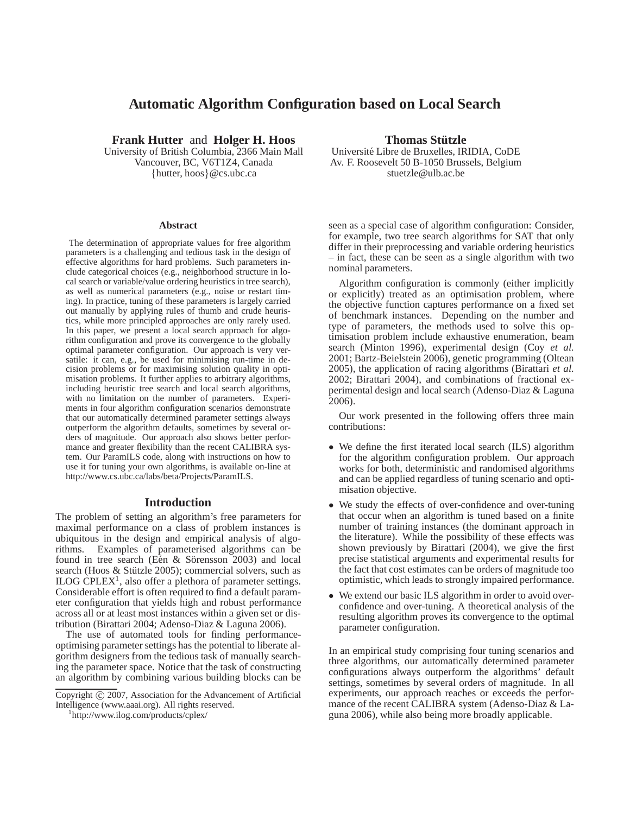# **Automatic Algorithm Configuration based on Local Search**

**Frank Hutter** and **Holger H. Hoos**

University of British Columbia, 2366 Main Mall Vancouver, BC, V6T1Z4, Canada {hutter, hoos}@cs.ubc.ca

#### **Abstract**

The determination of appropriate values for free algorithm parameters is a challenging and tedious task in the design of effective algorithms for hard problems. Such parameters include categorical choices (e.g., neighborhood structure in local search or variable/value ordering heuristics in tree search), as well as numerical parameters (e.g., noise or restart timing). In practice, tuning of these parameters is largely carried out manually by applying rules of thumb and crude heuristics, while more principled approaches are only rarely used. In this paper, we present a local search approach for algorithm configuration and prove its convergence to the globally optimal parameter configuration. Our approach is very versatile: it can, e.g., be used for minimising run-time in decision problems or for maximising solution quality in optimisation problems. It further applies to arbitrary algorithms, including heuristic tree search and local search algorithms, with no limitation on the number of parameters. Experiments in four algorithm configuration scenarios demonstrate that our automatically determined parameter settings always outperform the algorithm defaults, sometimes by several orders of magnitude. Our approach also shows better performance and greater flexibility than the recent CALIBRA system. Our ParamILS code, along with instructions on how to use it for tuning your own algorithms, is available on-line at http://www.cs.ubc.ca/labs/beta/Projects/ParamILS.

## **Introduction**

The problem of setting an algorithm's free parameters for maximal performance on a class of problem instances is ubiquitous in the design and empirical analysis of algorithms. Examples of parameterised algorithms can be found in tree search (Eén & Sörensson 2003) and local search (Hoos & Stützle 2005); commercial solvers, such as  $ILOG$  CPLEX<sup>1</sup>, also offer a plethora of parameter settings. Considerable effort is often required to find a default parameter configuration that yields high and robust performance across all or at least most instances within a given set or distribution (Birattari 2004; Adenso-Diaz & Laguna 2006).

The use of automated tools for finding performanceoptimising parameter settings has the potential to liberate algorithm designers from the tedious task of manually searching the parameter space. Notice that the task of constructing an algorithm by combining various building blocks can be

1 http://www.ilog.com/products/cplex/

#### **Thomas Stutzle ¨**

Universit´e Libre de Bruxelles, IRIDIA, CoDE Av. F. Roosevelt 50 B-1050 Brussels, Belgium stuetzle@ulb.ac.be

seen as a special case of algorithm configuration: Consider, for example, two tree search algorithms for SAT that only differ in their preprocessing and variable ordering heuristics – in fact, these can be seen as a single algorithm with two nominal parameters.

Algorithm configuration is commonly (either implicitly or explicitly) treated as an optimisation problem, where the objective function captures performance on a fixed set of benchmark instances. Depending on the number and type of parameters, the methods used to solve this optimisation problem include exhaustive enumeration, beam search (Minton 1996), experimental design (Coy *et al.* 2001; Bartz-Beielstein 2006), genetic programming (Oltean 2005), the application of racing algorithms (Birattari *et al.* 2002; Birattari 2004), and combinations of fractional experimental design and local search (Adenso-Diaz & Laguna 2006).

Our work presented in the following offers three main contributions:

- We define the first iterated local search (ILS) algorithm for the algorithm configuration problem. Our approach works for both, deterministic and randomised algorithms and can be applied regardless of tuning scenario and optimisation objective.
- We study the effects of over-confidence and over-tuning that occur when an algorithm is tuned based on a finite number of training instances (the dominant approach in the literature). While the possibility of these effects was shown previously by Birattari (2004), we give the first precise statistical arguments and experimental results for the fact that cost estimates can be orders of magnitude too optimistic, which leads to strongly impaired performance.
- We extend our basic ILS algorithm in order to avoid overconfidence and over-tuning. A theoretical analysis of the resulting algorithm proves its convergence to the optimal parameter configuration.

In an empirical study comprising four tuning scenarios and three algorithms, our automatically determined parameter configurations always outperform the algorithms' default settings, sometimes by several orders of magnitude. In all experiments, our approach reaches or exceeds the performance of the recent CALIBRA system (Adenso-Diaz & Laguna 2006), while also being more broadly applicable.

Copyright © 2007, Association for the Advancement of Artificial Intelligence (www.aaai.org). All rights reserved.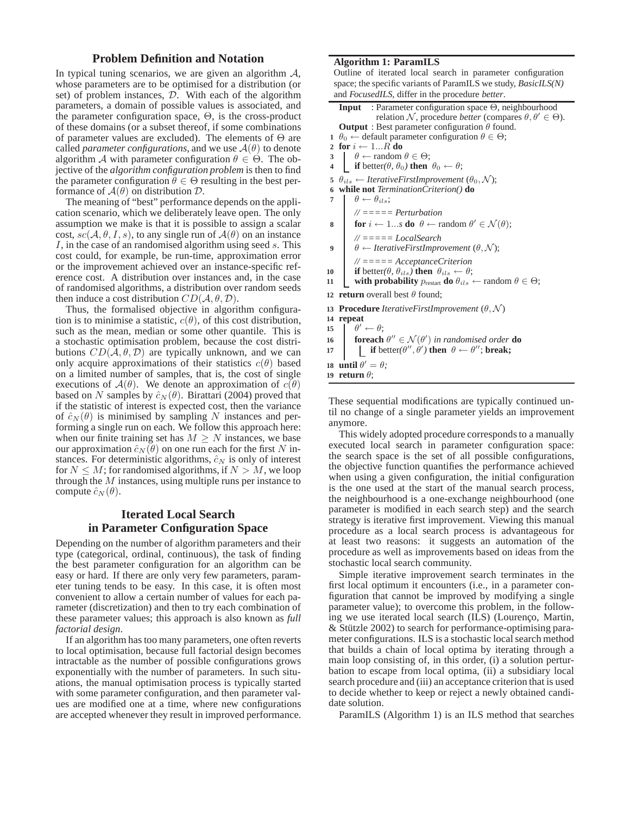### **Problem Definition and Notation**

In typical tuning scenarios, we are given an algorithm  $A$ , whose parameters are to be optimised for a distribution (or set) of problem instances, D. With each of the algorithm parameters, a domain of possible values is associated, and the parameter configuration space,  $\Theta$ , is the cross-product of these domains (or a subset thereof, if some combinations of parameter values are excluded). The elements of  $\Theta$  are called *parameter configurations*, and we use  $A(\theta)$  to denote algorithm A with parameter configuration  $\theta \in \Theta$ . The objective of the *algorithm configuration problem* is then to find the parameter configuration  $\theta \in \Theta$  resulting in the best performance of  $A(\theta)$  on distribution  $D$ .

The meaning of "best" performance depends on the application scenario, which we deliberately leave open. The only assumption we make is that it is possible to assign a scalar cost,  $sc(A, \theta, I, s)$ , to any single run of  $A(\theta)$  on an instance I, in the case of an randomised algorithm using seed s. This cost could, for example, be run-time, approximation error or the improvement achieved over an instance-specific reference cost. A distribution over instances and, in the case of randomised algorithms, a distribution over random seeds then induce a cost distribution  $CD(A, \theta, \mathcal{D})$ .

Thus, the formalised objective in algorithm configuration is to minimise a statistic,  $c(\theta)$ , of this cost distribution, such as the mean, median or some other quantile. This is a stochastic optimisation problem, because the cost distributions  $CD(A, \theta, \mathcal{D})$  are typically unknown, and we can only acquire approximations of their statistics  $c(\theta)$  based on a limited number of samples, that is, the cost of single executions of  $A(\theta)$ . We denote an approximation of  $c(\theta)$ based on N samples by  $\hat{c}_N(\theta)$ . Birattari (2004) proved that if the statistic of interest is expected cost, then the variance of  $\hat{c}_N(\theta)$  is minimised by sampling N instances and performing a single run on each. We follow this approach here: when our finite training set has  $M \geq N$  instances, we base our approximation  $\hat{c}_N(\theta)$  on one run each for the first N instances. For deterministic algorithms,  $\hat{c}_N$  is only of interest for  $N \leq M$ ; for randomised algorithms, if  $N > M$ , we loop through the  $M$  instances, using multiple runs per instance to compute  $\hat{c}_N(\theta)$ .

## **Iterated Local Search in Parameter Configuration Space**

Depending on the number of algorithm parameters and their type (categorical, ordinal, continuous), the task of finding the best parameter configuration for an algorithm can be easy or hard. If there are only very few parameters, parameter tuning tends to be easy. In this case, it is often most convenient to allow a certain number of values for each parameter (discretization) and then to try each combination of these parameter values; this approach is also known as *full factorial design*.

If an algorithm has too many parameters, one often reverts to local optimisation, because full factorial design becomes intractable as the number of possible configurations grows exponentially with the number of parameters. In such situations, the manual optimisation process is typically started with some parameter configuration, and then parameter values are modified one at a time, where new configurations are accepted whenever they result in improved performance.

## **Algorithm 1: ParamILS**

Outline of iterated local search in parameter configuration space; the specific variants of ParamILS we study, *BasicILS(N)* and *FocusedILS*, differ in the procedure *better*.

|                                                                 | Input : Parameter configuration space $\Theta$ , neighbourhood                                             |  |  |  |  |  |  |
|-----------------------------------------------------------------|------------------------------------------------------------------------------------------------------------|--|--|--|--|--|--|
|                                                                 |                                                                                                            |  |  |  |  |  |  |
|                                                                 | relation N, procedure <i>better</i> (compares $\theta, \theta' \in \Theta$ ).                              |  |  |  |  |  |  |
|                                                                 | <b>Output</b> : Best parameter configuration $\theta$ found.                                               |  |  |  |  |  |  |
|                                                                 | $1 \theta_0 \leftarrow$ default parameter configuration $\theta \in \Theta$ ;                              |  |  |  |  |  |  |
|                                                                 | 2 for $i \leftarrow 1R$ do                                                                                 |  |  |  |  |  |  |
|                                                                 | 3 $\theta \leftarrow \text{random } \theta \in \Theta;$                                                    |  |  |  |  |  |  |
| $\overline{\mathbf{4}}$                                         | <b>if</b> better( $\theta$ , $\theta$ <sub>0</sub> ) then $\theta$ <sub>0</sub> $\leftarrow \theta$ ;      |  |  |  |  |  |  |
|                                                                 | 5 $\theta_{ils} \leftarrow$ Iterative First Improvement $(\theta_0, \mathcal{N});$                         |  |  |  |  |  |  |
|                                                                 | 6 while not Termination Criterion() do                                                                     |  |  |  |  |  |  |
| 7                                                               | $\theta \leftarrow \theta_{ils};$                                                                          |  |  |  |  |  |  |
|                                                                 | $\mathcal{U} = == = Perturbation$                                                                          |  |  |  |  |  |  |
|                                                                 |                                                                                                            |  |  |  |  |  |  |
| 8                                                               | <b>for</b> $i \leftarrow 1s$ <b>do</b> $\theta \leftarrow$ random $\theta' \in \mathcal{N}(\theta);$       |  |  |  |  |  |  |
|                                                                 | $\mathcal{U} = == = LocalSearch$                                                                           |  |  |  |  |  |  |
| 9                                                               | $\theta \leftarrow \text{IterativeFirstImprovement } (\theta, \mathcal{N});$                               |  |  |  |  |  |  |
|                                                                 |                                                                                                            |  |  |  |  |  |  |
|                                                                 | $\mathcal{U}$ ===== AcceptanceCriterion                                                                    |  |  |  |  |  |  |
| 10                                                              | <b>if</b> better( $\theta$ , $\theta_{ils}$ ) <b>then</b> $\theta_{ils} \leftarrow \theta$ ;               |  |  |  |  |  |  |
| 11                                                              | with probability $p_{\text{restart}}$ do $\theta_{ils} \leftarrow \text{random } \theta \in \Theta;$       |  |  |  |  |  |  |
|                                                                 | 12 <b>return</b> overall best $\theta$ found:                                                              |  |  |  |  |  |  |
| 13 Procedure Iterative FirstImprovement $(\theta, \mathcal{N})$ |                                                                                                            |  |  |  |  |  |  |
|                                                                 | 14 repeat                                                                                                  |  |  |  |  |  |  |
|                                                                 | 15 $\theta' \leftarrow \theta;$                                                                            |  |  |  |  |  |  |
|                                                                 | 16 <b>foreach</b> $\theta'' \in \mathcal{N}(\theta')$ in randomised order <b>do</b>                        |  |  |  |  |  |  |
|                                                                 |                                                                                                            |  |  |  |  |  |  |
| 17                                                              | <b>if</b> better( $\theta''$ , $\dot{\theta}'$ ) <b>then</b> $\theta \leftarrow \theta''$ ; <b>break</b> ; |  |  |  |  |  |  |
|                                                                 | 18 until $\theta' = \theta$ ;                                                                              |  |  |  |  |  |  |
|                                                                 | 19 return $\theta$ ;                                                                                       |  |  |  |  |  |  |
|                                                                 |                                                                                                            |  |  |  |  |  |  |

These sequential modifications are typically continued until no change of a single parameter yields an improvement anymore.

This widely adopted procedure corresponds to a manually executed local search in parameter configuration space: the search space is the set of all possible configurations, the objective function quantifies the performance achieved when using a given configuration, the initial configuration is the one used at the start of the manual search process, the neighbourhood is a one-exchange neighbourhood (one parameter is modified in each search step) and the search strategy is iterative first improvement. Viewing this manual procedure as a local search process is advantageous for at least two reasons: it suggests an automation of the procedure as well as improvements based on ideas from the stochastic local search community.

Simple iterative improvement search terminates in the first local optimum it encounters (i.e., in a parameter configuration that cannot be improved by modifying a single parameter value); to overcome this problem, in the following we use iterated local search (ILS) (Lourenço, Martin,  $&$  Stützle 2002) to search for performance-optimising parameter configurations. ILS is a stochastic local search method that builds a chain of local optima by iterating through a main loop consisting of, in this order, (i) a solution perturbation to escape from local optima, (ii) a subsidiary local search procedure and (iii) an acceptance criterion that is used to decide whether to keep or reject a newly obtained candidate solution.

ParamILS (Algorithm 1) is an ILS method that searches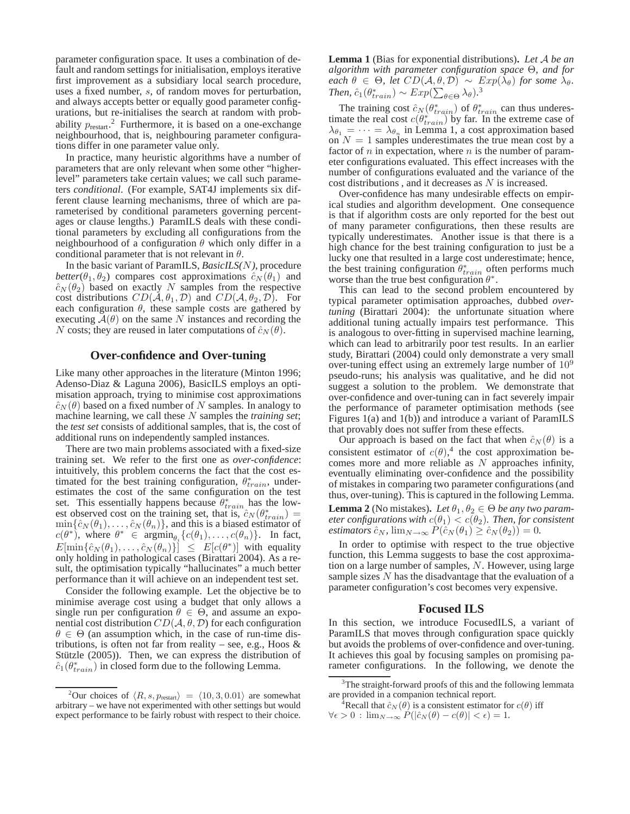parameter configuration space. It uses a combination of default and random settings for initialisation, employs iterative first improvement as a subsidiary local search procedure, uses a fixed number, s, of random moves for perturbation, and always accepts better or equally good parameter configurations, but re-initialises the search at random with probability  $p_{\text{restart}}$ <sup>2</sup> Furthermore, it is based on a one-exchange neighbourhood, that is, neighbouring parameter configurations differ in one parameter value only.

In practice, many heuristic algorithms have a number of parameters that are only relevant when some other "higherlevel" parameters take certain values; we call such parameters *conditional*. (For example, SAT4J implements six different clause learning mechanisms, three of which are parameterised by conditional parameters governing percentages or clause lengths.) ParamILS deals with these conditional parameters by excluding all configurations from the neighbourhood of a configuration  $\theta$  which only differ in a conditional parameter that is not relevant in  $\theta$ .

In the basic variant of ParamILS, *BasicILS(*N*)*, procedure *better*( $\theta_1, \theta_2$ ) compares cost approximations  $\hat{c}_N(\theta_1)$  and  $\hat{c}_N(\theta_2)$  based on exactly N samples from the respective cost distributions  $CD(\mathcal{A}, \theta_1, \mathcal{D})$  and  $CD(\mathcal{A}, \theta_2, \mathcal{D})$ . For each configuration  $\theta$ , these sample costs are gathered by executing  $A(\theta)$  on the same N instances and recording the N costs; they are reused in later computations of  $\hat{c}_N(\theta)$ .

#### **Over-confidence and Over-tuning**

Like many other approaches in the literature (Minton 1996; Adenso-Diaz & Laguna 2006), BasicILS employs an optimisation approach, trying to minimise cost approximations  $\hat{c}_N(\theta)$  based on a fixed number of N samples. In analogy to machine learning, we call these N samples the *training set*; the *test set* consists of additional samples, that is, the cost of additional runs on independently sampled instances.

There are two main problems associated with a fixed-size training set. We refer to the first one as *over-confidence*: intuitively, this problem concerns the fact that the cost estimated for the best training configuration,  $\theta^*_{train}$ , underestimates the cost of the same configuration on the test set. This essentially happens because  $\theta_{train}^*$  has the lowest observed cost on the training set, that is,  $\hat{c}_N(\theta_{train}^*)$  =  $\min\{\hat{c}_N(\theta_1),\ldots,\hat{c}_N(\theta_n)\}\text{, and this is a biased estimator of }$  $c(\theta^*)$ , where  $\theta^* \in \operatorname{argmin}_{\theta_i} \{c(\theta_1), \dots, c(\theta_n)\}.$  In fact,  $E[\min{\{\hat{c}_N(\theta_1), \dots, \hat{c}_N(\theta_n)\}}] \leq E[c(\theta^*)]$  with equality only holding in pathological cases (Birattari 2004). As a result, the optimisation typically "hallucinates" a much better performance than it will achieve on an independent test set.

Consider the following example. Let the objective be to minimise average cost using a budget that only allows a single run per configuration  $\theta \in \Theta$ , and assume an exponential cost distribution  $CD(A, \theta, \mathcal{D})$  for each configuration  $\theta \in \Theta$  (an assumption which, in the case of run-time distributions, is often not far from reality – see, e.g., Hoos  $\&$ Stützle  $(2005)$ ). Then, we can express the distribution of  $\hat{c}_1(\theta^*_{train})$  in closed form due to the following Lemma.

**Lemma 1** (Bias for exponential distributions)**.** *Let* A *be an algorithm with parameter configuration space* Θ*, and for each*  $\theta \in \Theta$ *, let*  $CD(\mathcal{A}, \theta, \mathcal{D}) \sim Exp(\lambda_{\theta})$  *for some*  $\lambda_{\theta}$ *. Then,*  $\hat{c}_1(\theta_{train}^*) \sim Exp(\sum_{\theta \in \Theta} \lambda_{\theta}).^3$ 

The training cost  $\hat{c}_N(\theta_{train}^*)$  of  $\theta_{train}^*$  can thus underestimate the real cost  $c(\theta_{train}^*)$  by far. In the extreme case of  $\lambda_{\theta_1} = \cdots = \lambda_{\theta_n}$  in Lemma 1, a cost approximation based on  $N = 1$  samples underestimates the true mean cost by a factor of  $n$  in expectation, where  $n$  is the number of parameter configurations evaluated. This effect increases with the number of configurations evaluated and the variance of the cost distributions , and it decreases as N is increased.

Over-confidence has many undesirable effects on empirical studies and algorithm development. One consequence is that if algorithm costs are only reported for the best out of many parameter configurations, then these results are typically underestimates. Another issue is that there is a high chance for the best training configuration to just be a lucky one that resulted in a large cost underestimate; hence, the best training configuration  $\theta_{train}^*$  often performs much worse than the true best configuration  $\theta^*$ .

This can lead to the second problem encountered by typical parameter optimisation approaches, dubbed *overtuning* (Birattari 2004): the unfortunate situation where additional tuning actually impairs test performance. This is analogous to over-fitting in supervised machine learning, which can lead to arbitrarily poor test results. In an earlier study, Birattari (2004) could only demonstrate a very small over-tuning effect using an extremely large number of  $10<sup>9</sup>$ pseudo-runs; his analysis was qualitative, and he did not suggest a solution to the problem. We demonstrate that over-confidence and over-tuning can in fact severely impair the performance of parameter optimisation methods (see Figures 1(a) and 1(b)) and introduce a variant of ParamILS that provably does not suffer from these effects.

Our approach is based on the fact that when  $\hat{c}_N(\theta)$  is a consistent estimator of  $c(\theta)$ ,<sup>4</sup> the cost approximation becomes more and more reliable as N approaches infinity, eventually eliminating over-confidence and the possibility of mistakes in comparing two parameter configurations (and thus, over-tuning). This is captured in the following Lemma.

**Lemma 2** (No mistakes). Let  $\theta_1, \theta_2 \in \Theta$  be any two param*eter configurations with*  $c(\theta_1) < c(\theta_2)$ *. Then, for consistent estimators*  $\hat{c}_N$ ,  $\lim_{N\to\infty} P(\hat{c}_N(\theta_1) \geq \hat{c}_N(\theta_2)) = 0.$ 

In order to optimise with respect to the true objective function, this Lemma suggests to base the cost approximation on a large number of samples, N. However, using large sample sizes N has the disadvantage that the evaluation of a parameter configuration's cost becomes very expensive.

#### **Focused ILS**

In this section, we introduce FocusedILS, a variant of ParamILS that moves through configuration space quickly but avoids the problems of over-confidence and over-tuning. It achieves this goal by focusing samples on promising parameter configurations. In the following, we denote the

<sup>&</sup>lt;sup>2</sup>Our choices of  $\langle R, s, p_{\text{restart}} \rangle = \langle 10, 3, 0.01 \rangle$  are somewhat arbitrary – we have not experimented with other settings but would expect performance to be fairly robust with respect to their choice.

 $3$ The straight-forward proofs of this and the following lemmata are provided in a companion technical report.

Recall that  $\hat{c}_N(\theta)$  is a consistent estimator for  $c(\theta)$  iff  $\forall \epsilon > 0$  :  $\lim_{N \to \infty} P(|\hat{c}_N(\theta) - c(\theta)| < \epsilon) = 1.$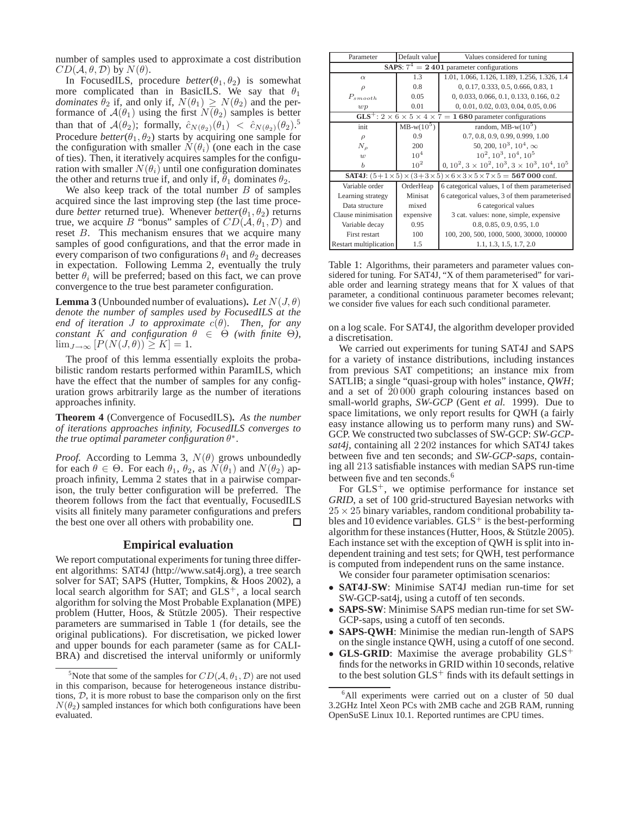number of samples used to approximate a cost distribution  $CD(A, \theta, \mathcal{D})$  by  $N(\theta)$ .

In FocusedILS, procedure  $better(\theta_1, \theta_2)$  is somewhat more complicated than in BasicILS. We say that  $\theta_1$ *dominates*  $\theta_2$  if, and only if,  $N(\theta_1) \geq N(\theta_2)$  and the performance of  $A(\theta_1)$  using the first  $N(\theta_2)$  samples is better than that of  $\mathcal{A}(\theta_2)$ ; formally,  $\hat{c}_{N(\theta_2)}(\theta_1) < \hat{c}_{N(\theta_2)}(\theta_2)$ .<sup>5</sup> Procedure *better*( $\theta_1$ ,  $\theta_2$ ) starts by acquiring one sample for the configuration with smaller  $N(\theta_i)$  (one each in the case of ties). Then, it iteratively acquires samples for the configuration with smaller  $N(\theta_i)$  until one configuration dominates the other and returns true if, and only if,  $\hat{\theta}_1$  dominates  $\theta_2$ .

We also keep track of the total number  $B$  of samples acquired since the last improving step (the last time procedure *better* returned true). Whenever *better*( $\theta_1$ ,  $\theta_2$ ) returns true, we acquire B "bonus" samples of  $CD(\mathcal{A}, \theta_1, \mathcal{D})$  and reset B. This mechanism ensures that we acquire many samples of good configurations, and that the error made in every comparison of two configurations  $\theta_1$  and  $\theta_2$  decreases in expectation. Following Lemma 2, eventually the truly better  $\theta_i$  will be preferred; based on this fact, we can prove convergence to the true best parameter configuration.

**Lemma 3** (Unbounded number of evaluations). Let  $N(J, \theta)$ *denote the number of samples used by FocusedILS at the end of iteration J to approximate*  $c(\theta)$ *. Then, for any constant* K *and configuration*  $\theta \in \Theta$  *(with finite*  $\Theta$ *),*  $\lim_{J\to\infty} [P(N(J,\theta))] \geq K$  = 1.

The proof of this lemma essentially exploits the probabilistic random restarts performed within ParamILS, which have the effect that the number of samples for any configuration grows arbitrarily large as the number of iterations approaches infinity.

**Theorem 4** (Convergence of FocusedILS)**.** *As the number of iterations approaches infinity, FocusedILS converges to the true optimal parameter configuration* θ ∗ *.*

*Proof.* According to Lemma 3,  $N(\theta)$  grows unboundedly for each  $\theta \in \Theta$ . For each  $\theta_1$ ,  $\theta_2$ , as  $N(\theta_1)$  and  $N(\theta_2)$  approach infinity, Lemma 2 states that in a pairwise comparison, the truly better configuration will be preferred. The theorem follows from the fact that eventually, FocusedILS visits all finitely many parameter configurations and prefers the best one over all others with probability one. П

#### **Empirical evaluation**

We report computational experiments for tuning three different algorithms: SAT4J (http://www.sat4j.org), a tree search solver for SAT; SAPS (Hutter, Tompkins, & Hoos 2002), a local search algorithm for SAT; and GLS<sup>+</sup>, a local search algorithm for solving the Most Probable Explanation (MPE) problem (Hutter, Hoos, & Stützle 2005). Their respective parameters are summarised in Table 1 (for details, see the original publications). For discretisation, we picked lower and upper bounds for each parameter (same as for CALI-BRA) and discretised the interval uniformly or uniformly

| Parameter                                                                                         | Default value | Values considered for tuning                              |  |  |  |  |  |  |
|---------------------------------------------------------------------------------------------------|---------------|-----------------------------------------------------------|--|--|--|--|--|--|
| <b>SAPS:</b> $7^4 = 2401$ parameter configurations                                                |               |                                                           |  |  |  |  |  |  |
| $\alpha$                                                                                          | 1.3           | 1.01, 1.066, 1.126, 1.189, 1.256, 1.326, 1.4              |  |  |  |  |  |  |
|                                                                                                   | 0.8           | 0, 0.17, 0.333, 0.5, 0.666, 0.83, 1                       |  |  |  |  |  |  |
| $P_{smooth}$                                                                                      | 0.05          | $0, 0.033, 0.066, 0.1, 0.133, 0.166, 0.2$                 |  |  |  |  |  |  |
| wp                                                                                                | 0.01          | 0, 0.01, 0.02, 0.03, 0.04, 0.05, 0.06                     |  |  |  |  |  |  |
| $GLS^+$ : 2 × 6 × 5 × 4 × 7 = 1 680 parameter configurations                                      |               |                                                           |  |  |  |  |  |  |
| init                                                                                              | $MB-w(10^5)$  | random, MB-w $(10^5)$                                     |  |  |  |  |  |  |
| $\rho$                                                                                            | 0.9           | 0.7, 0.8, 0.9, 0.99, 0.999, 1.00                          |  |  |  |  |  |  |
| $N_{\rho}$                                                                                        | 200           | 50, 200, $10^3$ , $10^4$ , $\infty$                       |  |  |  |  |  |  |
| w                                                                                                 | $10^{4}$      | $10^2, 10^3, 10^4, 10^5$                                  |  |  |  |  |  |  |
| b                                                                                                 | $10^{2}$      | $0, 10^2, 3 \times 10^2, 10^3, 3 \times 10^3, 10^4, 10^5$ |  |  |  |  |  |  |
| <b>SAT4J</b> : $(5+1\times5)\times(3+3\times5)\times6\times3\times5\times7\times5=$ 567 000 conf. |               |                                                           |  |  |  |  |  |  |
| Variable order                                                                                    | OrderHeap     | 6 categorical values, 1 of them parameterised             |  |  |  |  |  |  |
| Learning strategy                                                                                 | Minisat       | 6 categorical values, 3 of them parameterised             |  |  |  |  |  |  |
| Data structure                                                                                    | mixed         | 6 categorical values                                      |  |  |  |  |  |  |
| Clause minimisation                                                                               | expensive     | 3 cat. values: none, simple, expensive                    |  |  |  |  |  |  |
| Variable decay                                                                                    | 0.95          | 0.8, 0.85, 0.9, 0.95, 1.0                                 |  |  |  |  |  |  |
| First restart                                                                                     | 100           | 100, 200, 500, 1000, 5000, 30000, 100000                  |  |  |  |  |  |  |
| Restart multiplication                                                                            | 1.5           | 1.1, 1.3, 1.5, 1.7, 2.0                                   |  |  |  |  |  |  |

Table 1: Algorithms, their parameters and parameter values considered for tuning. For SAT4J, "X of them parameterised" for variable order and learning strategy means that for X values of that parameter, a conditional continuous parameter becomes relevant; we consider five values for each such conditional parameter.

on a log scale. For SAT4J, the algorithm developer provided a discretisation.

We carried out experiments for tuning SAT4J and SAPS for a variety of instance distributions, including instances from previous SAT competitions; an instance mix from SATLIB; a single "quasi-group with holes" instance, *QWH*; and a set of 20 000 graph colouring instances based on small-world graphs, *SW-GCP* (Gent *et al.* 1999). Due to space limitations, we only report results for QWH (a fairly easy instance allowing us to perform many runs) and SW-GCP. We constructed two subclasses of SW-GCP: *SW-GCPsat4j*, containing all 2 202 instances for which SAT4J takes between five and ten seconds; and *SW-GCP-saps*, containing all 213 satisfiable instances with median SAPS run-time between five and ten seconds.<sup>6</sup>

For  $GLS<sup>+</sup>$ , we optimise performance for instance set *GRID*, a set of 100 grid-structured Bayesian networks with  $25 \times 25$  binary variables, random conditional probability tables and 10 evidence variables.  $GLS^+$  is the best-performing algorithm for these instances (Hutter, Hoos,  $&$  Stützle 2005). Each instance set with the exception of QWH is split into independent training and test sets; for QWH, test performance is computed from independent runs on the same instance.

We consider four parameter optimisation scenarios:

- **SAT4J-SW**: Minimise SAT4J median run-time for set SW-GCP-sat4j, using a cutoff of ten seconds.
- **SAPS-SW**: Minimise SAPS median run-time for set SW-GCP-saps, using a cutoff of ten seconds.
- **SAPS-QWH**: Minimise the median run-length of SAPS on the single instance QWH, using a cutoff of one second.
- **GLS-GRID**: Maximise the average probability GLS<sup>+</sup> finds for the networks in GRID within 10 seconds, relative to the best solution  $GLS^+$  finds with its default settings in

<sup>&</sup>lt;sup>5</sup>Note that some of the samples for  $CD(A, \theta_1, \mathcal{D})$  are not used in this comparison, because for heterogeneous instance distributions,  $D$ , it is more robust to base the comparison only on the first  $N(\theta_2)$  sampled instances for which both configurations have been evaluated.

<sup>&</sup>lt;sup>6</sup>All experiments were carried out on a cluster of 50 dual 3.2GHz Intel Xeon PCs with 2MB cache and 2GB RAM, running OpenSuSE Linux 10.1. Reported runtimes are CPU times.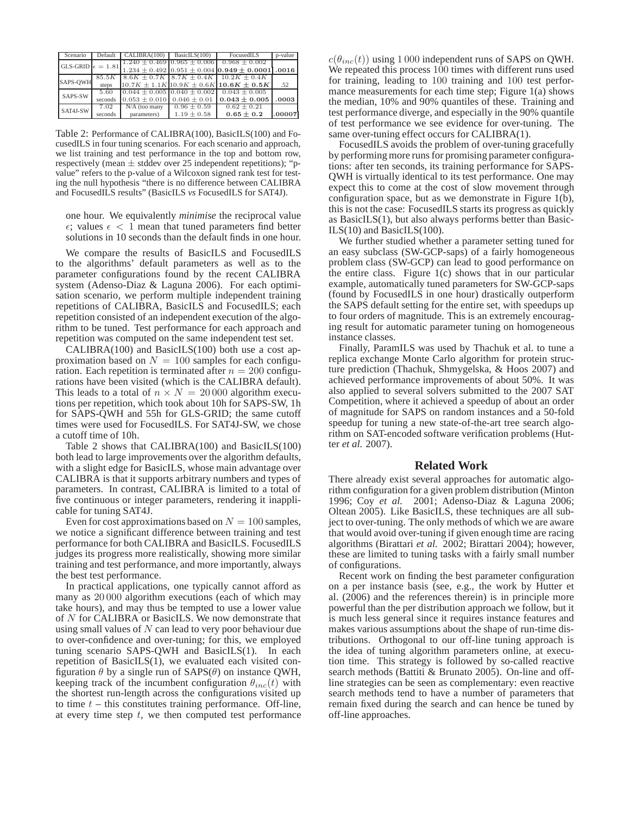| Scenario                   | Default | CALIBRA(100)                        | BasicILS(100)                       | FocusedILS                                                   | p-value |
|----------------------------|---------|-------------------------------------|-------------------------------------|--------------------------------------------------------------|---------|
| GLS-GRID $\epsilon = 1.81$ |         |                                     | $1.240 \pm 0.469$ 0.965 $\pm$ 0.006 | $0.968 \pm 0.002$                                            |         |
|                            |         |                                     |                                     | $1.234 \pm 0.492$ 0.951 $\pm$ 0.004 0.949 $\pm$ 0.0001 .0016 |         |
|                            | 85.5K   |                                     |                                     | $8.6K \pm 0.7K$ $8.7K \pm 0.4K$ 10.2K $\pm 0.4K$             |         |
| SAPS-QWH                   | steps   |                                     |                                     | $10.7K \pm 1.1K10.9K \pm 0.6K10.6K \pm 0.5K$                 | .52     |
| SAPS-SW                    | 5.60    | $0.044 \pm 0.005$ $0.040 \pm 0.002$ |                                     | $0.043 \pm 0.005$                                            |         |
|                            | seconds | $0.053 \pm 0.010$ 0.046 $\pm$ 0.01  |                                     | $0.043 \pm 0.005$                                            | .0003   |
|                            | 7.02    | $N/A$ (too many                     | $0.96 \pm 0.59$                     | $0.62 \pm 0.21$                                              |         |
| SAT4J-SW                   | seconds | parameters)                         | $1.19 \pm 0.58$                     | $0.65 \pm 0.2$                                               | .00007  |

Table 2: Performance of CALIBRA(100), BasicILS(100) and FocusedILS in four tuning scenarios. For each scenario and approach, we list training and test performance in the top and bottom row, respectively (mean  $\pm$  stddev over 25 independent repetitions); "pvalue" refers to the p-value of a Wilcoxon signed rank test for testing the null hypothesis "there is no difference between CALIBRA and FocusedILS results" (BasicILS *vs* FocusedILS for SAT4J).

one hour. We equivalently *minimise* the reciprocal value  $\epsilon$ ; values  $\epsilon$  < 1 mean that tuned parameters find better solutions in 10 seconds than the default finds in one hour.

We compare the results of BasicILS and FocusedILS to the algorithms' default parameters as well as to the parameter configurations found by the recent CALIBRA system (Adenso-Diaz & Laguna 2006). For each optimisation scenario, we perform multiple independent training repetitions of CALIBRA, BasicILS and FocusedILS; each repetition consisted of an independent execution of the algorithm to be tuned. Test performance for each approach and repetition was computed on the same independent test set.

 $CALIBRA(100)$  and BasicILS(100) both use a cost approximation based on  $N = 100$  samples for each configuration. Each repetition is terminated after  $n = 200$  configurations have been visited (which is the CALIBRA default). This leads to a total of  $n \times N = 20000$  algorithm executions per repetition, which took about 10h for SAPS-SW, 1h for SAPS-QWH and 55h for GLS-GRID; the same cutoff times were used for FocusedILS. For SAT4J-SW, we chose a cutoff time of 10h.

Table 2 shows that CALIBRA(100) and BasicILS(100) both lead to large improvements over the algorithm defaults, with a slight edge for BasicILS, whose main advantage over CALIBRA is that it supports arbitrary numbers and types of parameters. In contrast, CALIBRA is limited to a total of five continuous or integer parameters, rendering it inapplicable for tuning SAT4J.

Even for cost approximations based on  $N = 100$  samples, we notice a significant difference between training and test performance for both CALIBRA and BasicILS. FocusedILS judges its progress more realistically, showing more similar training and test performance, and more importantly, always the best test performance.

In practical applications, one typically cannot afford as many as 20 000 algorithm executions (each of which may take hours), and may thus be tempted to use a lower value of N for CALIBRA or BasicILS. We now demonstrate that using small values of  $N$  can lead to very poor behaviour due to over-confidence and over-tuning; for this, we employed tuning scenario SAPS-QWH and BasicILS(1). In each repetition of BasicILS(1), we evaluated each visited configuration  $\theta$  by a single run of SAPS( $\theta$ ) on instance QWH, keeping track of the incumbent configuration  $\theta_{inc}(t)$  with the shortest run-length across the configurations visited up to time  $t$  – this constitutes training performance. Off-line, at every time step  $t$ , we then computed test performance

 $c(\theta_{inc}(t))$  using 1 000 independent runs of SAPS on QWH. We repeated this process 100 times with different runs used for training, leading to 100 training and 100 test performance measurements for each time step; Figure 1(a) shows the median, 10% and 90% quantiles of these. Training and test performance diverge, and especially in the 90% quantile of test performance we see evidence for over-tuning. The same over-tuning effect occurs for CALIBRA(1).

FocusedILS avoids the problem of over-tuning gracefully by performing more runs for promising parameter configurations: after ten seconds, its training performance for SAPS-QWH is virtually identical to its test performance. One may expect this to come at the cost of slow movement through configuration space, but as we demonstrate in Figure 1(b), this is not the case: FocusedILS starts its progress as quickly as BasicILS(1), but also always performs better than Basic-ILS(10) and BasicILS(100).

We further studied whether a parameter setting tuned for an easy subclass (SW-GCP-saps) of a fairly homogeneous problem class (SW-GCP) can lead to good performance on the entire class. Figure 1(c) shows that in our particular example, automatically tuned parameters for SW-GCP-saps (found by FocusedILS in one hour) drastically outperform the SAPS default setting for the entire set, with speedups up to four orders of magnitude. This is an extremely encouraging result for automatic parameter tuning on homogeneous instance classes.

Finally, ParamILS was used by Thachuk et al. to tune a replica exchange Monte Carlo algorithm for protein structure prediction (Thachuk, Shmygelska, & Hoos 2007) and achieved performance improvements of about 50%. It was also applied to several solvers submitted to the 2007 SAT Competition, where it achieved a speedup of about an order of magnitude for SAPS on random instances and a 50-fold speedup for tuning a new state-of-the-art tree search algorithm on SAT-encoded software verification problems (Hutter *et al.* 2007).

#### **Related Work**

There already exist several approaches for automatic algorithm configuration for a given problem distribution (Minton 1996; Coy *et al.* 2001; Adenso-Diaz & Laguna 2006; Oltean 2005). Like BasicILS, these techniques are all subject to over-tuning. The only methods of which we are aware that would avoid over-tuning if given enough time are racing algorithms (Birattari *et al.* 2002; Birattari 2004); however, these are limited to tuning tasks with a fairly small number of configurations.

Recent work on finding the best parameter configuration on a per instance basis (see, e.g., the work by Hutter et al. (2006) and the references therein) is in principle more powerful than the per distribution approach we follow, but it is much less general since it requires instance features and makes various assumptions about the shape of run-time distributions. Orthogonal to our off-line tuning approach is the idea of tuning algorithm parameters online, at execution time. This strategy is followed by so-called reactive search methods (Battiti & Brunato 2005). On-line and offline strategies can be seen as complementary: even reactive search methods tend to have a number of parameters that remain fixed during the search and can hence be tuned by off-line approaches.